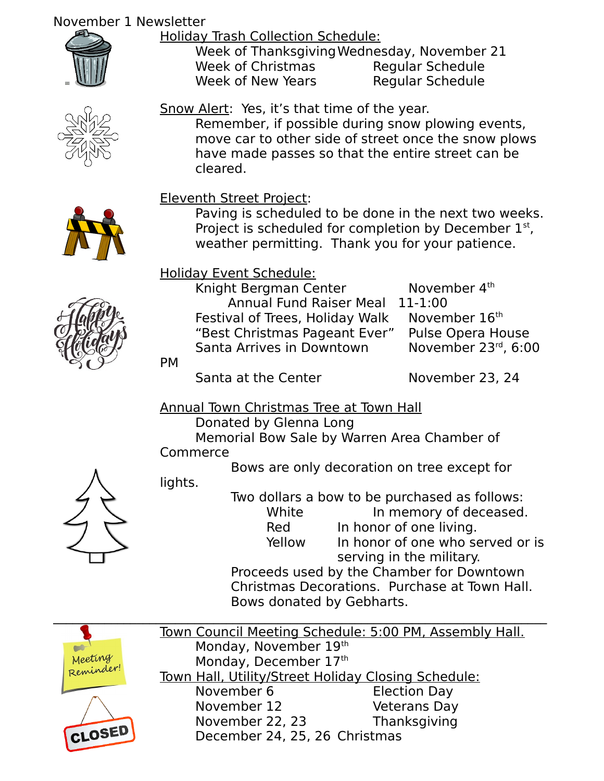## November 1 Newsletter



Holiday Trash Collection Schedule:

Week of ThanksgivingWednesday, November 21 Week of Christmas **Regular Schedule** Week of New Years Regular Schedule



Snow Alert: Yes, it's that time of the year. Remember, if possible during snow plowing events, move car to other side of street once the snow plows have made passes so that the entire street can be cleared.

Eleventh Street Project:

Paving is scheduled to be done in the next two weeks. Project is scheduled for completion by December  $1<sup>st</sup>$ , weather permitting. Thank you for your patience.



Holiday Event Schedule: Knight Bergman Center November 4th Annual Fund Raiser Meal 11-1:00 Festival of Trees, Holiday Walk November 16<sup>th</sup> "Best Christmas Pageant Ever" Pulse Opera House Santa Arrives in Downtown November 23rd, 6:00

PM

Santa at the Center **November 23, 24** 

Annual Town Christmas Tree at Town Hall Donated by Glenna Long

Memorial Bow Sale by Warren Area Chamber of Commerce

Bows are only decoration on tree except for



Two dollars a bow to be purchased as follows: White In memory of deceased. Red In honor of one living. Yellow In honor of one who served or is serving in the military. Proceeds used by the Chamber for Downtown Christmas Decorations. Purchase at Town Hall. Bows donated by Gebharts.



\_\_\_\_\_\_\_\_\_\_\_\_\_\_\_\_\_\_\_\_\_\_\_\_\_\_\_\_\_\_\_\_\_\_\_\_\_\_\_\_\_\_\_\_\_\_\_\_\_\_\_\_\_\_\_\_\_\_\_\_\_\_\_\_\_\_\_\_\_\_\_\_\_\_\_\_\_ Town Council Meeting Schedule: 5:00 PM, Assembly Hall. Monday, November 19th Monday, December 17th Town Hall, Utility/Street Holiday Closing Schedule: November 6 **Election Day** November 12 Veterans Day November 22, 23 Thanksgiving December 24, 25, 26 Christmas